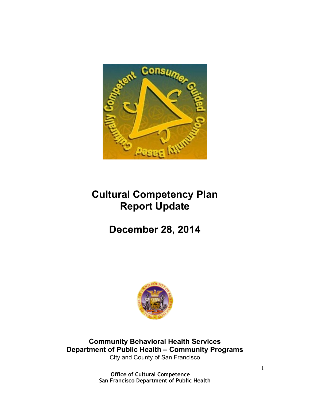

# **Cultural Competency Plan Report Update**

# **December 28, 2014**



**Community Behavioral Health Services Department of Public Health – Community Programs** City and County of San Francisco

> **Office of Cultural Competence San Francisco Department of Public Health**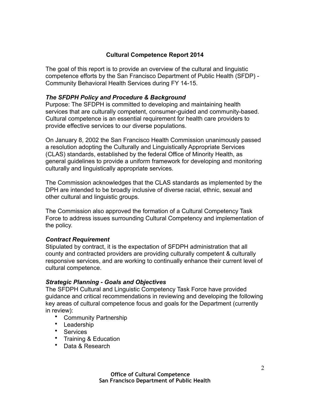# **Cultural Competence Report 2014**

The goal of this report is to provide an overview of the cultural and linguistic competence efforts by the San Francisco Department of Public Health (SFDP) - Community Behavioral Health Services during FY 14-15.

# *The SFDPH Policy and Procedure & Background*

Purpose: The SFDPH is committed to developing and maintaining health services that are culturally competent, consumer-guided and community-based. Cultural competence is an essential requirement for health care providers to provide effective services to our diverse populations.

On January 8, 2002 the San Francisco Health Commission unanimously passed [a resolution adopting the Culturally and Linguistically Appropriate Services](http://www.sfdph.org/dph/files/hc/hcres/resolutions/2002res/hcres02-02.htm)  (CLAS) standards, established by the federal Office of Minority Health, as general guidelines to provide a uniform framework for developing and monitoring culturally and linguistically appropriate services.

The Commission acknowledges that the CLAS standards as implemented by the DPH are intended to be broadly inclusive of diverse racial, ethnic, sexual and other cultural and linguistic groups.

The Commission also approved the formation of a Cultural Competency Task Force to address issues surrounding Cultural Competency and implementation of the policy.

# *Contract Requirement*

Stipulated by contract, it is the expectation of SFDPH administration that all county and contracted providers are providing culturally competent & culturally responsive services, and are working to continually enhance their current level of cultural competence.

# *Strategic Planning - Goals and Objectives*

The SFDPH Cultural and Linguistic Competency Task Force have provided guidance and critical recommendations in reviewing and developing the following key areas of cultural competence focus and goals for the Department (currently in review):

- Community Partnership
- Leadership
- Services
- Training & Education
- Data & Research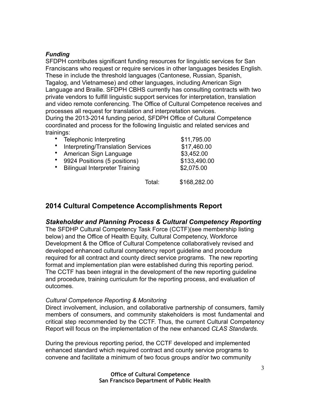## *Funding*

SFDPH contributes significant funding resources for linguistic services for San Franciscans who request or require services in other languages besides English. These in include the threshold languages (Cantonese, Russian, Spanish, Tagalog, and Vietnamese) and other languages, including American Sign Language and Braille. SFDPH CBHS currently has consulting contracts with two private vendors to fulfill linguistic support services for interpretation, translation and video remote conferencing. The Office of Cultural Competence receives and processes all request for translation and interpretation services.

During the 2013-2014 funding period, SFDPH Office of Cultural Competence coordinated and process for the following linguistic and related services and trainings:

|   | Telephonic Interpreting               |        | \$11,795.00  |
|---|---------------------------------------|--------|--------------|
|   | Interpreting/Translation Services     |        | \$17,460.00  |
|   | American Sign Language                |        | \$3,452.00   |
| ٠ | 9924 Positions (5 positions)          |        | \$133,490.00 |
| ٠ | <b>Bilingual Interpreter Training</b> |        | \$2,075.00   |
|   |                                       | Total: | \$168,282.00 |

# **2014 Cultural Competence Accomplishments Report**

# *Stakeholder and Planning Process & Cultural Competency Reporting*

The SFDHP Cultural Competency Task Force (CCTF)(see membership listing below) and the Office of Health Equity, Cultural Competency, Workforce Development & the Office of Cultural Competence collaboratively revised and developed enhanced cultural competency report guideline and procedure required for all contract and county direct service programs. The new reporting format and implementation plan were established during this reporting period. The CCTF has been integral in the development of the new reporting guideline and procedure, training curriculum for the reporting process, and evaluation of outcomes.

#### *Cultural Competence Reporting & Monitoring*

Direct involvement, inclusion, and collaborative partnership of consumers, family members of consumers, and community stakeholders is most fundamental and critical step recommended by the CCTF. Thus, the current Cultural Competency Report will focus on the implementation of the new enhanced *CLAS Standards.*

During the previous reporting period, the CCTF developed and implemented enhanced standard which required contract and county service programs to convene and facilitate a minimum of two focus groups and/or two community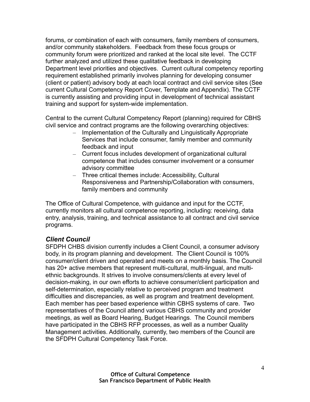forums, or combination of each with consumers, family members of consumers, and/or community stakeholders. Feedback from these focus groups or community forum were prioritized and ranked at the local site level. The CCTF further analyzed and utilized these qualitative feedback in developing Department level priorities and objectives. Current cultural competency reporting requirement established primarily involves planning for developing consumer (client or patient) advisory body at each local contract and civil service sites (See current Cultural Competency Report Cover, Template and Appendix). The CCTF is currently assisting and providing input in development of technical assistant training and support for system-wide implementation.

Central to the current Cultural Competency Report (planning) required for CBHS civil service and contract programs are the following overarching objectives:

- Implementation of the Culturally and Linguistically Appropriate Services that include consumer, family member and community feedback and input
- Current focus includes development of organizational cultural competence that includes consumer involvement or a consumer advisory committee
- Three critical themes include: Accessibility, Cultural Responsiveness and Partnership/Collaboration with consumers, family members and community

The Office of Cultural Competence, with guidance and input for the CCTF, currently monitors all cultural competence reporting, including: receiving, data entry, analysis, training, and technical assistance to all contract and civil service programs.

# *Client Council*

SFDPH CHBS division currently includes a Client Council, a consumer advisory body, in its program planning and development. The Client Council is 100% consumer/client driven and operated and meets on a monthly basis. The Council has 20+ active members that represent multi-cultural, multi-lingual, and multiethnic backgrounds. It strives to involve consumers/clients at every level of decision-making, in our own efforts to achieve consumer/client participation and self-determination, especially relative to perceived program and treatment difficulties and discrepancies, as well as program and treatment development. Each member has peer based experience within CBHS systems of care. Two representatives of the Council attend various CBHS community and provider meetings, as well as Board Hearing, Budget Hearings. The Council members have participated in the CBHS RFP processes, as well as a number Quality Management activities. Additionally, currently, two members of the Council are the SFDPH Cultural Competency Task Force.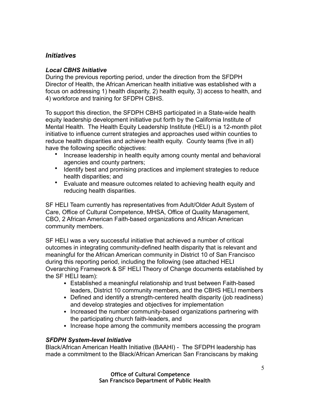# *Initiatives*

## *Local CBHS Initiative*

During the previous reporting period, under the direction from the SFDPH Director of Health, the African American health initiative was established with a focus on addressing 1) health disparity, 2) health equity, 3) access to health, and 4) workforce and training for SFDPH CBHS.

To support this direction, the SFDPH CBHS participated in a State-wide health equity leadership development initiative put forth by the California Institute of Mental Health. The Health Equity Leadership Institute (HELI) is a 12-month pilot initiative to influence current strategies and approaches used within counties to reduce health disparities and achieve health equity. County teams (five in all) have the following specific objectives:

- Increase leadership in health equity among county mental and behavioral agencies and county partners;
- Identify best and promising practices and implement strategies to reduce health disparities; and
- Evaluate and measure outcomes related to achieving health equity and reducing health disparities.

SF HELI Team currently has representatives from Adult/Older Adult System of Care, Office of Cultural Competence, MHSA, Office of Quality Management, CBO, 2 African American Faith-based organizations and African American community members.

SF HELI was a very successful initiative that achieved a number of critical outcomes in integrating community-defined health disparity that is relevant and meaningful for the African American community in District 10 of San Francisco during this reporting period, including the following (see attached HELI Overarching Framework & SF HELI Theory of Change documents established by the SF HELI team):

- Established a meaningful relationship and trust between Faith-based leaders, District 10 community members, and the CBHS HELI members
- Defined and identify a strength-centered health disparity (job readiness) and develop strategies and objectives for implementation
- Increased the number community-based organizations partnering with the participating church faith-leaders, and
- Increase hope among the community members accessing the program

# *SFDPH System-level Initiative*

Black/African American Health Initiative (BAAHI) - The SFDPH leadership has made a commitment to the Black/African American San Franciscans by making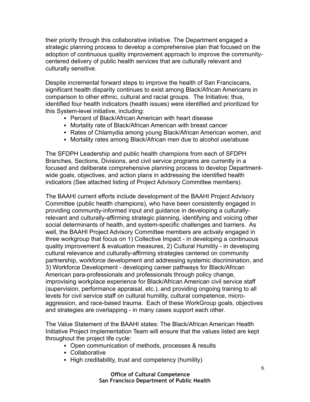their priority through this collaborative initiative. The Department engaged a strategic planning process to develop a comprehensive plan that focused on the adoption of continuous quality improvement approach to improve the communitycentered delivery of public health services that are culturally relevant and culturally sensitive.

Despite incremental forward steps to improve the health of San Franciscans, significant health disparity continues to exist among Black/African Americans in comparison to other ethnic, cultural and racial groups. The Initiative; thus, identified four health indicators (health issues) were identified and prioritized for this System-level initiative, including:

- Percent of Black/African American with heart disease
- Mortality rate of Black/African American with breast cancer
- Rates of Chlamydia among young Black/African American women, and
- Mortality rates among Black/African men due to alcohol use/abuse

The SFDPH Leadership and public health champions from each of SFDPH Branches, Sections, Divisions, and civil service programs are currently in a focused and deliberate comprehensive planning process to develop Departmentwide goals, objectives, and action plans in addressing the identified health indicators (See attached listing of Project Advisory Committee members).

The BAAHI current efforts include development of the BAAHI Project Advisory Committee (public health champions), who have been consistently engaged in providing community-informed input and guidance in developing a culturallyrelevant and culturally-affirming strategic planning, identifying and voicing other social determinants of health, and system-specific challenges and barriers. As well, the BAAHI Project Advisory Committee members are actively engaged in three workgroup that focus on 1) Collective Impact - in developing a continuous quality improvement & evaluation measures, 2) Cultural Humility - in developing cultural relevance and culturally-affirming strategies centered on community partnership, workforce development and addressing systemic discrimination, and 3) Workforce Development - developing career pathways for Black/African American para-professionals and professionals through policy change, improvising workplace experience for Black/African American civil service staff (supervision, performance appraisal, etc.), and providing ongoing training to all levels for civil service staff on cultural humility, cultural competence, microaggression, and race-based trauma. Each of these WorkGroup goals, objectives and strategies are overlapping - in many cases support each other.

The Value Statement of the BAAHI states: The Black/African American Health Initiative Project Implementation Team will ensure that the values listed are kept throughout the project life cycle:

- Open communication of methods, processes & results
- Collaborative
- High creditability, trust and competency (humility)

**Office of Cultural Competence San Francisco Department of Public Health**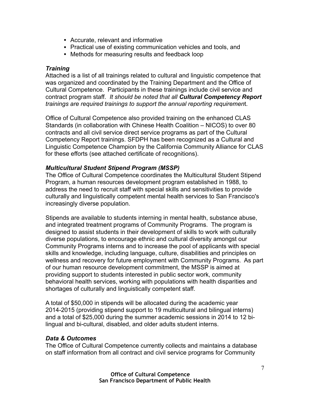- Accurate, relevant and informative
- Practical use of existing communication vehicles and tools, and
- Methods for measuring results and feedback loop

## *Training*

Attached is a list of all trainings related to cultural and linguistic competence that was organized and coordinated by the Training Department and the Office of Cultural Competence. Participants in these trainings include civil service and contract program staff. *It should be noted that all Cultural Competency Report trainings are required trainings to support the annual reporting requiremen*t.

Office of Cultural Competence also provided training on the enhanced CLAS Standards (in collaboration with Chinese Health Coalition – NICOS) to over 80 contracts and all civil service direct service programs as part of the Cultural Competency Report trainings. SFDPH has been recognized as a Cultural and Linguistic Competence Champion by the California Community Alliance for CLAS for these efforts (see attached certificate of recognitions).

#### *Multicultural Student Stipend Program (MSSP)*

The Office of Cultural Competence coordinates the Multicultural Student Stipend Program, a human resources development program established in 1988, to address the need to recruit staff with special skills and sensitivities to provide culturally and linguistically competent mental health services to San Francisco's increasingly diverse population.

Stipends are available to students interning in mental health, substance abuse, and integrated treatment programs of Community Programs. The program is designed to assist students in their development of skills to work with culturally diverse populations, to encourage ethnic and cultural diversity amongst our Community Programs interns and to increase the pool of applicants with special skills and knowledge, including language, culture, disabilities and principles on wellness and recovery for future employment with Community Programs. As part of our human resource development commitment, the MSSP is aimed at providing support to students interested in public sector work, community behavioral health services, working with populations with health disparities and shortages of culturally and linguistically competent staff.

A total of \$50,000 in stipends will be allocated during the academic year 2014-2015 (providing stipend support to 19 multicultural and bilingual interns) and a total of \$25,000 during the summer academic sessions in 2014 to 12 bilingual and bi-cultural, disabled, and older adults student interns.

# *Data & Outcomes*

The Office of Cultural Competence currently collects and maintains a database on staff information from all contract and civil service programs for Community